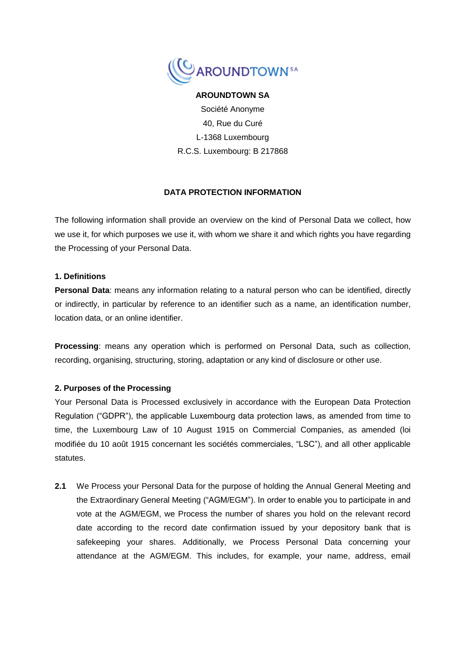

### **AROUNDTOWN SA**

Société Anonyme 40, Rue du Curé L-1368 Luxembourg R.C.S. Luxembourg: B 217868

# **DATA PROTECTION INFORMATION**

The following information shall provide an overview on the kind of Personal Data we collect, how we use it, for which purposes we use it, with whom we share it and which rights you have regarding the Processing of your Personal Data.

### **1. Definitions**

**Personal Data**: means any information relating to a natural person who can be identified, directly or indirectly, in particular by reference to an identifier such as a name, an identification number, location data, or an online identifier.

**Processing**: means any operation which is performed on Personal Data, such as collection, recording, organising, structuring, storing, adaptation or any kind of disclosure or other use.

# **2. Purposes of the Processing**

Your Personal Data is Processed exclusively in accordance with the European Data Protection Regulation ("GDPR"), the applicable Luxembourg data protection laws, as amended from time to time, the Luxembourg Law of 10 August 1915 on Commercial Companies, as amended (loi modifiée du 10 août 1915 concernant les sociétés commerciales, "LSC"), and all other applicable statutes.

**2.1** We Process your Personal Data for the purpose of holding the Annual General Meeting and the Extraordinary General Meeting ("AGM/EGM"). In order to enable you to participate in and vote at the AGM/EGM, we Process the number of shares you hold on the relevant record date according to the record date confirmation issued by your depository bank that is safekeeping your shares. Additionally, we Process Personal Data concerning your attendance at the AGM/EGM. This includes, for example, your name, address, email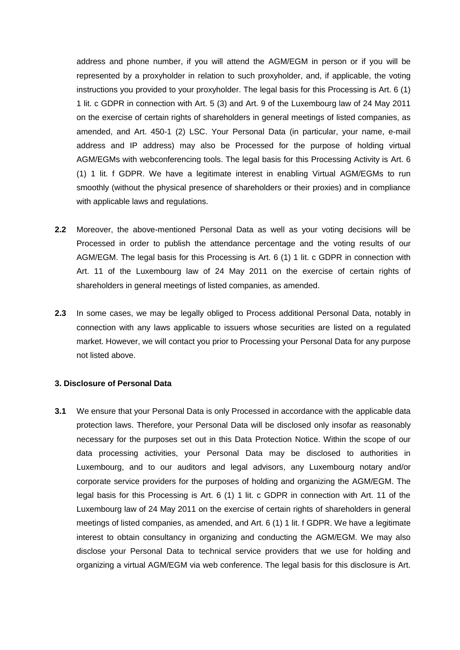address and phone number, if you will attend the AGM/EGM in person or if you will be represented by a proxyholder in relation to such proxyholder, and, if applicable, the voting instructions you provided to your proxyholder. The legal basis for this Processing is Art. 6 (1) 1 lit. c GDPR in connection with Art. 5 (3) and Art. 9 of the Luxembourg law of 24 May 2011 on the exercise of certain rights of shareholders in general meetings of listed companies, as amended, and Art. 450-1 (2) LSC. Your Personal Data (in particular, your name, e-mail address and IP address) may also be Processed for the purpose of holding virtual AGM/EGMs with webconferencing tools. The legal basis for this Processing Activity is Art. 6 (1) 1 lit. f GDPR. We have a legitimate interest in enabling Virtual AGM/EGMs to run smoothly (without the physical presence of shareholders or their proxies) and in compliance with applicable laws and regulations.

- **2.2** Moreover, the above-mentioned Personal Data as well as your voting decisions will be Processed in order to publish the attendance percentage and the voting results of our AGM/EGM. The legal basis for this Processing is Art. 6 (1) 1 lit. c GDPR in connection with Art. 11 of the Luxembourg law of 24 May 2011 on the exercise of certain rights of shareholders in general meetings of listed companies, as amended.
- **2.3** In some cases, we may be legally obliged to Process additional Personal Data, notably in connection with any laws applicable to issuers whose securities are listed on a regulated market. However, we will contact you prior to Processing your Personal Data for any purpose not listed above.

#### **3. Disclosure of Personal Data**

**3.1** We ensure that your Personal Data is only Processed in accordance with the applicable data protection laws. Therefore, your Personal Data will be disclosed only insofar as reasonably necessary for the purposes set out in this Data Protection Notice. Within the scope of our data processing activities, your Personal Data may be disclosed to authorities in Luxembourg, and to our auditors and legal advisors, any Luxembourg notary and/or corporate service providers for the purposes of holding and organizing the AGM/EGM. The legal basis for this Processing is Art. 6 (1) 1 lit. c GDPR in connection with Art. 11 of the Luxembourg law of 24 May 2011 on the exercise of certain rights of shareholders in general meetings of listed companies, as amended, and Art. 6 (1) 1 lit. f GDPR. We have a legitimate interest to obtain consultancy in organizing and conducting the AGM/EGM. We may also disclose your Personal Data to technical service providers that we use for holding and organizing a virtual AGM/EGM via web conference. The legal basis for this disclosure is Art.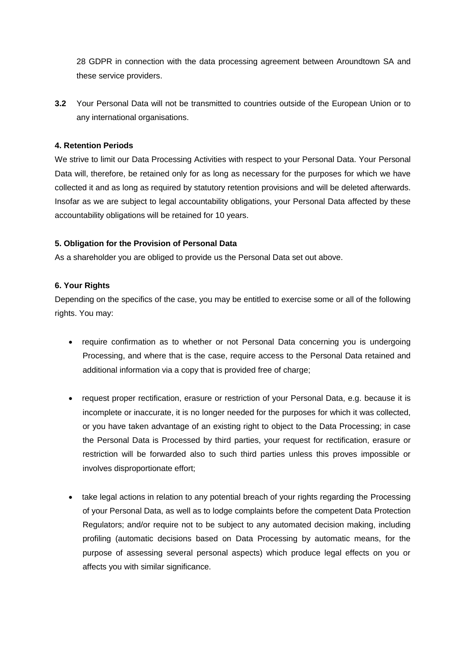28 GDPR in connection with the data processing agreement between Aroundtown SA and these service providers.

**3.2** Your Personal Data will not be transmitted to countries outside of the European Union or to any international organisations.

# **4. Retention Periods**

We strive to limit our Data Processing Activities with respect to your Personal Data. Your Personal Data will, therefore, be retained only for as long as necessary for the purposes for which we have collected it and as long as required by statutory retention provisions and will be deleted afterwards. Insofar as we are subject to legal accountability obligations, your Personal Data affected by these accountability obligations will be retained for 10 years.

# **5. Obligation for the Provision of Personal Data**

As a shareholder you are obliged to provide us the Personal Data set out above.

# **6. Your Rights**

Depending on the specifics of the case, you may be entitled to exercise some or all of the following rights. You may:

- require confirmation as to whether or not Personal Data concerning you is undergoing Processing, and where that is the case, require access to the Personal Data retained and additional information via a copy that is provided free of charge;
- request proper rectification, erasure or restriction of your Personal Data, e.g. because it is incomplete or inaccurate, it is no longer needed for the purposes for which it was collected, or you have taken advantage of an existing right to object to the Data Processing; in case the Personal Data is Processed by third parties, your request for rectification, erasure or restriction will be forwarded also to such third parties unless this proves impossible or involves disproportionate effort;
- take legal actions in relation to any potential breach of your rights regarding the Processing of your Personal Data, as well as to lodge complaints before the competent Data Protection Regulators; and/or require not to be subject to any automated decision making, including profiling (automatic decisions based on Data Processing by automatic means, for the purpose of assessing several personal aspects) which produce legal effects on you or affects you with similar significance.